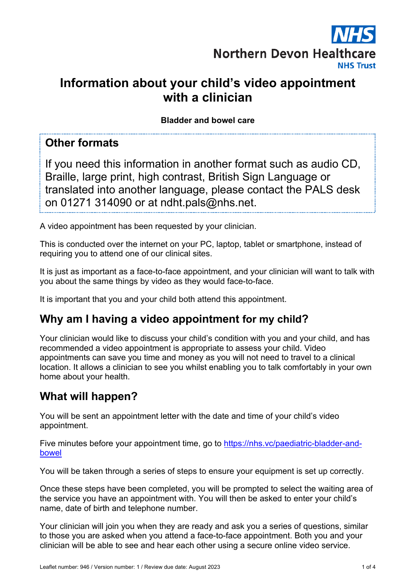

# **Information about your child's video appointment with a clinician**

**Bladder and bowel care**

### **Other formats**

If you need this information in another format such as audio CD, Braille, large print, high contrast, British Sign Language or translated into another language, please contact the PALS desk on 01271 314090 or at ndht.pals@nhs.net.

A video appointment has been requested by your clinician.

This is conducted over the internet on your PC, laptop, tablet or smartphone, instead of requiring you to attend one of our clinical sites.

It is just as important as a face-to-face appointment, and your clinician will want to talk with you about the same things by video as they would face-to-face.

It is important that you and your child both attend this appointment.

# **Why am I having a video appointment for my child?**

Your clinician would like to discuss your child's condition with you and your child, and has recommended a video appointment is appropriate to assess your child. Video appointments can save you time and money as you will not need to travel to a clinical location. It allows a clinician to see you whilst enabling you to talk comfortably in your own home about your health.

# **What will happen?**

You will be sent an appointment letter with the date and time of your child's video appointment.

Five minutes before your appointment time, go to https://nhs.vc/paediatric-bladder-andbowel

You will be taken through a series of steps to ensure your equipment is set up correctly.

Once these steps have been completed, you will be prompted to select the waiting area of the service you have an appointment with. You will then be asked to enter your child's name, date of birth and telephone number.

Your clinician will join you when they are ready and ask you a series of questions, similar to those you are asked when you attend a face-to-face appointment. Both you and your clinician will be able to see and hear each other using a secure online video service.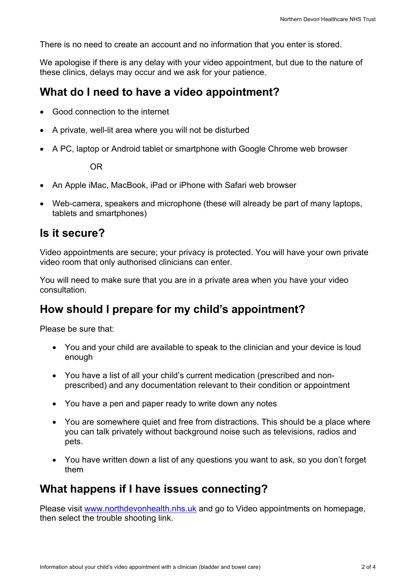There is no need to create an account and no information that you enter is stored.

We apologise if there is any delay with your video appointment, but due to the nature of these clinics, delays may occur and we ask for your patience.

#### **What do I need to have a video appointment?**

- Good connection to the internet
- A private, well-lit area where you will not be disturbed
- A PC, laptop or Android tablet or smartphone with Google Chrome web browser

OR

- An Apple iMac, MacBook, iPad or iPhone with Safari web browser
- Web-camera, speakers and microphone (these will already be part of many laptops, tablets and smartphones)

#### **Is it secure?**

Video appointments are secure; your privacy is protected. You will have your own private video room that only authorised clinicians can enter.

You will need to make sure that you are in a private area when you have your video consultation.

## **How should I prepare for my child's appointment?**

Please be sure that:

- You and your child are available to speak to the clinician and your device is loud enough
- You have a list of all your child's current medication (prescribed and nonprescribed) and any documentation relevant to their condition or appointment
- You have a pen and paper ready to write down any notes
- You are somewhere quiet and free from distractions. This should be a place where you can talk privately without background noise such as televisions, radios and pets.
- You have written down a list of any questions you want to ask, so you don't forget them

#### **What happens if I have issues connecting?**

Please visit www.northdevonhealth.nhs.uk and go to Video appointments on homepage, then select the trouble shooting link.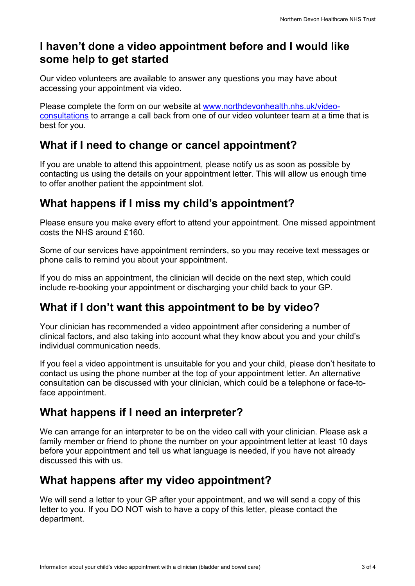## **I haven't done a video appointment before and I would like some help to get started**

Our video volunteers are available to answer any questions you may have about accessing your appointment via video.

Please complete the form on our website at www.northdevonhealth.nhs.uk/videoconsultations to arrange a call back from one of our video volunteer team at a time that is best for you.

## **What if I need to change or cancel appointment?**

If you are unable to attend this appointment, please notify us as soon as possible by contacting us using the details on your appointment letter. This will allow us enough time to offer another patient the appointment slot.

# **What happens if I miss my child's appointment?**

Please ensure you make every effort to attend your appointment. One missed appointment costs the NHS around £160.

Some of our services have appointment reminders, so you may receive text messages or phone calls to remind you about your appointment.

If you do miss an appointment, the clinician will decide on the next step, which could include re-booking your appointment or discharging your child back to your GP.

# **What if I don't want this appointment to be by video?**

Your clinician has recommended a video appointment after considering a number of clinical factors, and also taking into account what they know about you and your child's individual communication needs.

If you feel a video appointment is unsuitable for you and your child, please don't hesitate to contact us using the phone number at the top of your appointment letter. An alternative consultation can be discussed with your clinician, which could be a telephone or face-toface appointment.

# **What happens if I need an interpreter?**

We can arrange for an interpreter to be on the video call with your clinician. Please ask a family member or friend to phone the number on your appointment letter at least 10 days before your appointment and tell us what language is needed, if you have not already discussed this with us.

## **What happens after my video appointment?**

We will send a letter to your GP after your appointment, and we will send a copy of this letter to you. If you DO NOT wish to have a copy of this letter, please contact the department.